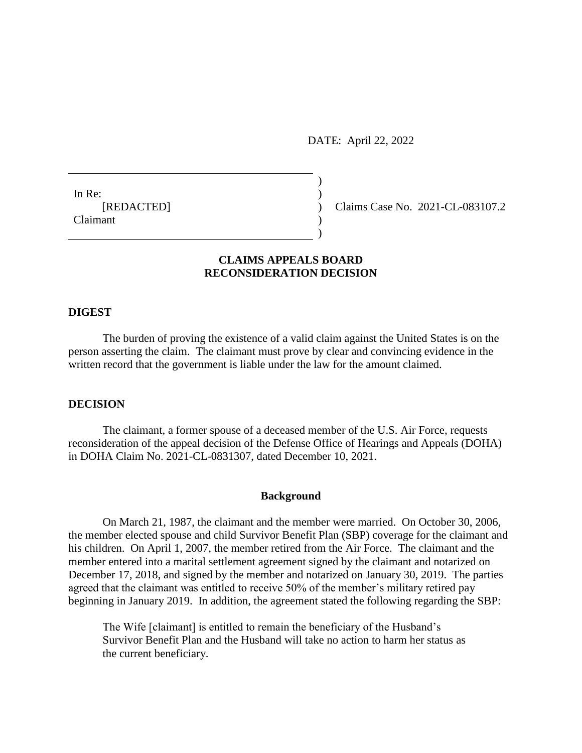DATE: April 22, 2022

In Re:  $\qquad \qquad$  ) Claimant )

[REDACTED] ) Claims Case No. 2021-CL-083107.2

# **CLAIMS APPEALS BOARD RECONSIDERATION DECISION**

)

)

### **DIGEST**

The burden of proving the existence of a valid claim against the United States is on the person asserting the claim. The claimant must prove by clear and convincing evidence in the written record that the government is liable under the law for the amount claimed.

## **DECISION**

The claimant, a former spouse of a deceased member of the U.S. Air Force, requests reconsideration of the appeal decision of the Defense Office of Hearings and Appeals (DOHA) in DOHA Claim No. 2021-CL-0831307, dated December 10, 2021.

#### **Background**

On March 21, 1987, the claimant and the member were married. On October 30, 2006, the member elected spouse and child Survivor Benefit Plan (SBP) coverage for the claimant and his children. On April 1, 2007, the member retired from the Air Force. The claimant and the member entered into a marital settlement agreement signed by the claimant and notarized on December 17, 2018, and signed by the member and notarized on January 30, 2019. The parties agreed that the claimant was entitled to receive 50% of the member's military retired pay beginning in January 2019. In addition, the agreement stated the following regarding the SBP:

The Wife [claimant] is entitled to remain the beneficiary of the Husband's Survivor Benefit Plan and the Husband will take no action to harm her status as the current beneficiary.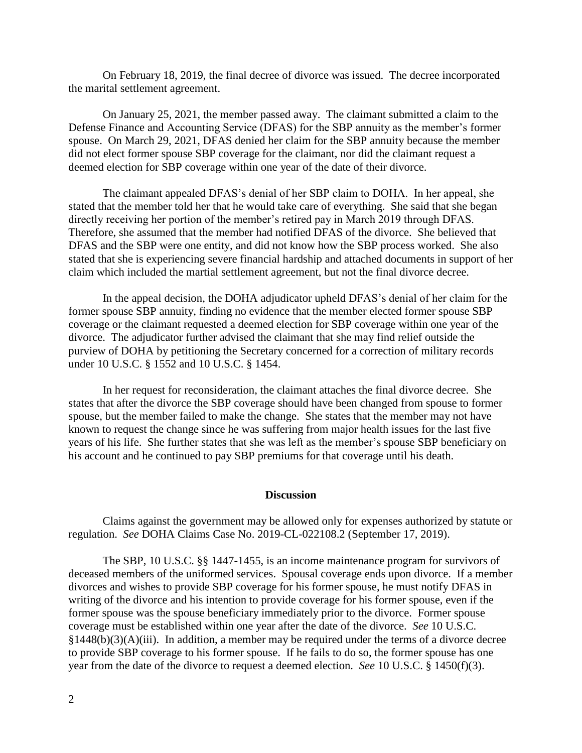On February 18, 2019, the final decree of divorce was issued. The decree incorporated the marital settlement agreement.

On January 25, 2021, the member passed away. The claimant submitted a claim to the Defense Finance and Accounting Service (DFAS) for the SBP annuity as the member's former spouse. On March 29, 2021, DFAS denied her claim for the SBP annuity because the member did not elect former spouse SBP coverage for the claimant, nor did the claimant request a deemed election for SBP coverage within one year of the date of their divorce.

The claimant appealed DFAS's denial of her SBP claim to DOHA. In her appeal, she stated that the member told her that he would take care of everything. She said that she began directly receiving her portion of the member's retired pay in March 2019 through DFAS. Therefore, she assumed that the member had notified DFAS of the divorce. She believed that DFAS and the SBP were one entity, and did not know how the SBP process worked. She also stated that she is experiencing severe financial hardship and attached documents in support of her claim which included the martial settlement agreement, but not the final divorce decree.

In the appeal decision, the DOHA adjudicator upheld DFAS's denial of her claim for the former spouse SBP annuity, finding no evidence that the member elected former spouse SBP coverage or the claimant requested a deemed election for SBP coverage within one year of the divorce. The adjudicator further advised the claimant that she may find relief outside the purview of DOHA by petitioning the Secretary concerned for a correction of military records under 10 U.S.C. § 1552 and 10 U.S.C. § 1454.

In her request for reconsideration, the claimant attaches the final divorce decree. She states that after the divorce the SBP coverage should have been changed from spouse to former spouse, but the member failed to make the change. She states that the member may not have known to request the change since he was suffering from major health issues for the last five years of his life. She further states that she was left as the member's spouse SBP beneficiary on his account and he continued to pay SBP premiums for that coverage until his death.

## **Discussion**

Claims against the government may be allowed only for expenses authorized by statute or regulation. *See* DOHA Claims Case No. 2019-CL-022108.2 (September 17, 2019).

The SBP, 10 U.S.C. §§ 1447-1455, is an income maintenance program for survivors of deceased members of the uniformed services. Spousal coverage ends upon divorce. If a member divorces and wishes to provide SBP coverage for his former spouse, he must notify DFAS in writing of the divorce and his intention to provide coverage for his former spouse, even if the former spouse was the spouse beneficiary immediately prior to the divorce. Former spouse coverage must be established within one year after the date of the divorce. *See* 10 U.S.C.  $§1448(b)(3)(A)(iii)$ . In addition, a member may be required under the terms of a divorce decree to provide SBP coverage to his former spouse. If he fails to do so, the former spouse has one year from the date of the divorce to request a deemed election. *See* 10 U.S.C. § 1450(f)(3).